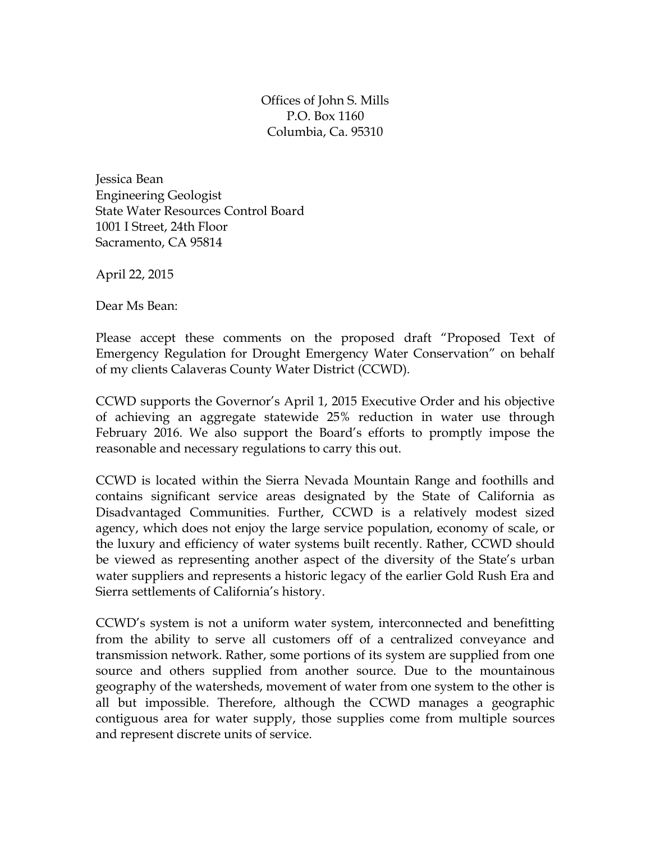Offices of John S. Mills P.O. Box 1160 Columbia, Ca. 95310

Jessica Bean Engineering Geologist State Water Resources Control Board 1001 I Street, 24th Floor Sacramento, CA 95814

April 22, 2015

Dear Ms Bean:

Please accept these comments on the proposed draft "Proposed Text of Emergency Regulation for Drought Emergency Water Conservation" on behalf of my clients Calaveras County Water District (CCWD).

CCWD supports the Governor's April 1, 2015 Executive Order and his objective of achieving an aggregate statewide 25% reduction in water use through February 2016. We also support the Board's efforts to promptly impose the reasonable and necessary regulations to carry this out.

CCWD is located within the Sierra Nevada Mountain Range and foothills and contains significant service areas designated by the State of California as Disadvantaged Communities. Further, CCWD is a relatively modest sized agency, which does not enjoy the large service population, economy of scale, or the luxury and efficiency of water systems built recently. Rather, CCWD should be viewed as representing another aspect of the diversity of the State's urban water suppliers and represents a historic legacy of the earlier Gold Rush Era and Sierra settlements of California's history.

CCWD's system is not a uniform water system, interconnected and benefitting from the ability to serve all customers off of a centralized conveyance and transmission network. Rather, some portions of its system are supplied from one source and others supplied from another source. Due to the mountainous geography of the watersheds, movement of water from one system to the other is all but impossible. Therefore, although the CCWD manages a geographic contiguous area for water supply, those supplies come from multiple sources and represent discrete units of service.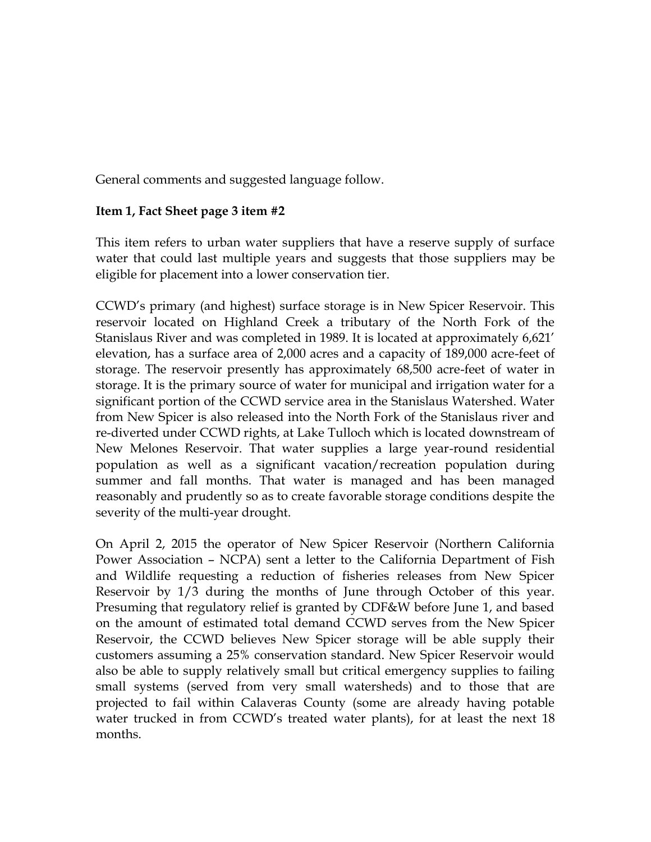General comments and suggested language follow.

## **Item 1, Fact Sheet page 3 item #2**

This item refers to urban water suppliers that have a reserve supply of surface water that could last multiple years and suggests that those suppliers may be eligible for placement into a lower conservation tier.

CCWD's primary (and highest) surface storage is in New Spicer Reservoir. This reservoir located on Highland Creek a tributary of the North Fork of the Stanislaus River and was completed in 1989. It is located at approximately 6,621' elevation, has a surface area of 2,000 acres and a capacity of 189,000 acre-feet of storage. The reservoir presently has approximately 68,500 acre-feet of water in storage. It is the primary source of water for municipal and irrigation water for a significant portion of the CCWD service area in the Stanislaus Watershed. Water from New Spicer is also released into the North Fork of the Stanislaus river and re-diverted under CCWD rights, at Lake Tulloch which is located downstream of New Melones Reservoir. That water supplies a large year-round residential population as well as a significant vacation/recreation population during summer and fall months. That water is managed and has been managed reasonably and prudently so as to create favorable storage conditions despite the severity of the multi-year drought.

On April 2, 2015 the operator of New Spicer Reservoir (Northern California Power Association – NCPA) sent a letter to the California Department of Fish and Wildlife requesting a reduction of fisheries releases from New Spicer Reservoir by 1/3 during the months of June through October of this year. Presuming that regulatory relief is granted by CDF&W before June 1, and based on the amount of estimated total demand CCWD serves from the New Spicer Reservoir, the CCWD believes New Spicer storage will be able supply their customers assuming a 25% conservation standard. New Spicer Reservoir would also be able to supply relatively small but critical emergency supplies to failing small systems (served from very small watersheds) and to those that are projected to fail within Calaveras County (some are already having potable water trucked in from CCWD's treated water plants), for at least the next 18 months.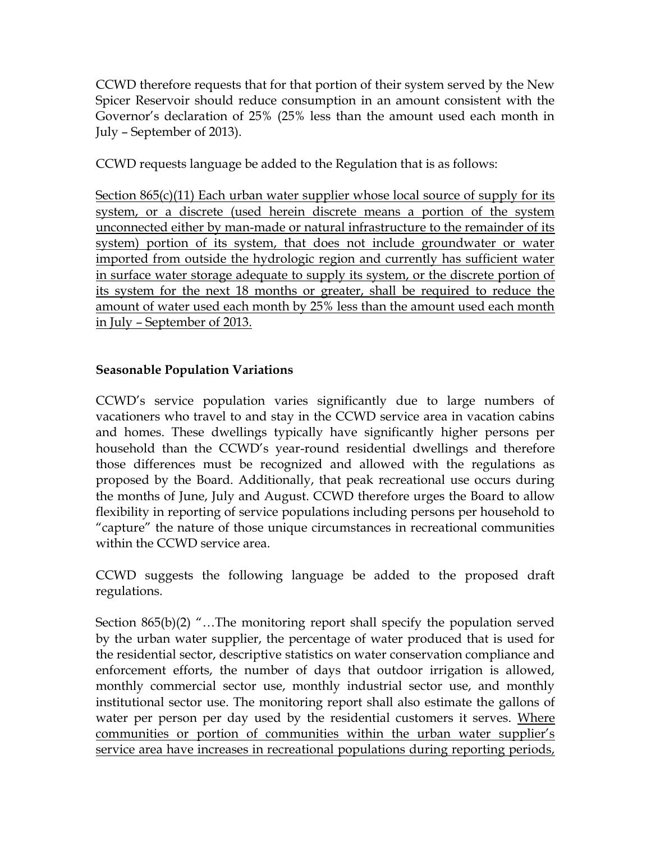CCWD therefore requests that for that portion of their system served by the New Spicer Reservoir should reduce consumption in an amount consistent with the Governor's declaration of 25% (25% less than the amount used each month in July – September of 2013).

CCWD requests language be added to the Regulation that is as follows:

Section 865(c)(11) Each urban water supplier whose local source of supply for its system, or a discrete (used herein discrete means a portion of the system unconnected either by man-made or natural infrastructure to the remainder of its system) portion of its system, that does not include groundwater or water imported from outside the hydrologic region and currently has sufficient water in surface water storage adequate to supply its system, or the discrete portion of its system for the next 18 months or greater, shall be required to reduce the amount of water used each month by 25% less than the amount used each month in July – September of 2013.

## **Seasonable Population Variations**

CCWD's service population varies significantly due to large numbers of vacationers who travel to and stay in the CCWD service area in vacation cabins and homes. These dwellings typically have significantly higher persons per household than the CCWD's year-round residential dwellings and therefore those differences must be recognized and allowed with the regulations as proposed by the Board. Additionally, that peak recreational use occurs during the months of June, July and August. CCWD therefore urges the Board to allow flexibility in reporting of service populations including persons per household to "capture" the nature of those unique circumstances in recreational communities within the CCWD service area.

CCWD suggests the following language be added to the proposed draft regulations.

Section 865(b)(2) "…The monitoring report shall specify the population served by the urban water supplier, the percentage of water produced that is used for the residential sector, descriptive statistics on water conservation compliance and enforcement efforts, the number of days that outdoor irrigation is allowed, monthly commercial sector use, monthly industrial sector use, and monthly institutional sector use. The monitoring report shall also estimate the gallons of water per person per day used by the residential customers it serves. Where communities or portion of communities within the urban water supplier's service area have increases in recreational populations during reporting periods,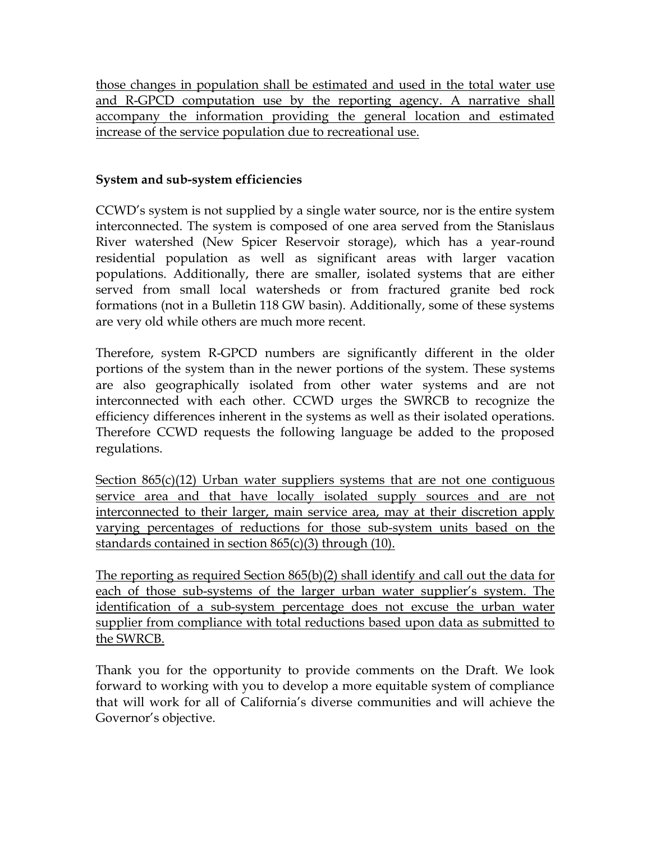those changes in population shall be estimated and used in the total water use and R-GPCD computation use by the reporting agency. A narrative shall accompany the information providing the general location and estimated increase of the service population due to recreational use.

## **System and sub-system efficiencies**

CCWD's system is not supplied by a single water source, nor is the entire system interconnected. The system is composed of one area served from the Stanislaus River watershed (New Spicer Reservoir storage), which has a year-round residential population as well as significant areas with larger vacation populations. Additionally, there are smaller, isolated systems that are either served from small local watersheds or from fractured granite bed rock formations (not in a Bulletin 118 GW basin). Additionally, some of these systems are very old while others are much more recent.

Therefore, system R-GPCD numbers are significantly different in the older portions of the system than in the newer portions of the system. These systems are also geographically isolated from other water systems and are not interconnected with each other. CCWD urges the SWRCB to recognize the efficiency differences inherent in the systems as well as their isolated operations. Therefore CCWD requests the following language be added to the proposed regulations.

Section  $865(c)(12)$  Urban water suppliers systems that are not one contiguous service area and that have locally isolated supply sources and are not interconnected to their larger, main service area, may at their discretion apply varying percentages of reductions for those sub-system units based on the standards contained in section  $865(c)(3)$  through (10).

The reporting as required Section 865(b)(2) shall identify and call out the data for each of those sub-systems of the larger urban water supplier's system. The identification of a sub-system percentage does not excuse the urban water supplier from compliance with total reductions based upon data as submitted to the SWRCB.

Thank you for the opportunity to provide comments on the Draft. We look forward to working with you to develop a more equitable system of compliance that will work for all of California's diverse communities and will achieve the Governor's objective.